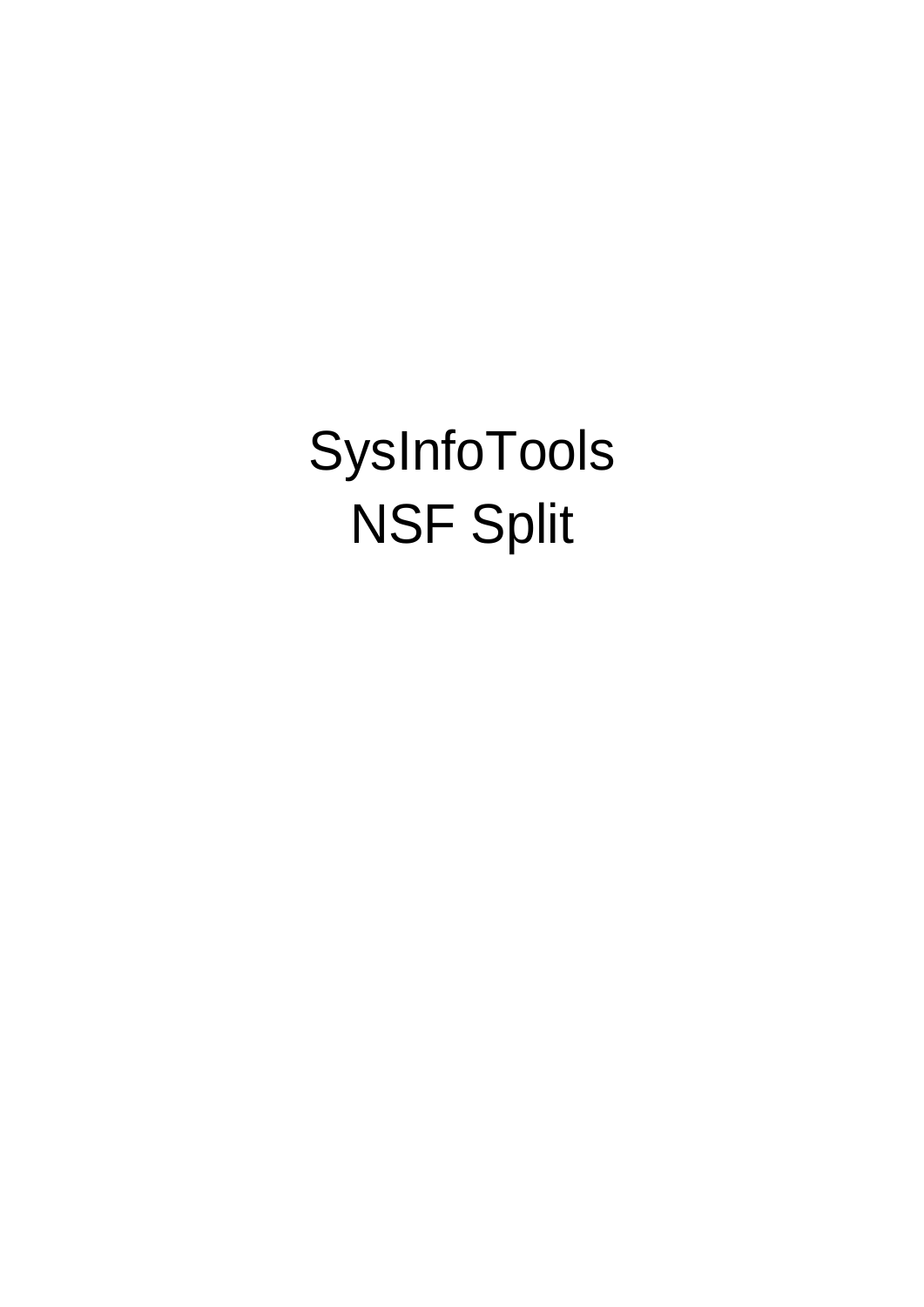SysInfoTools NSF Split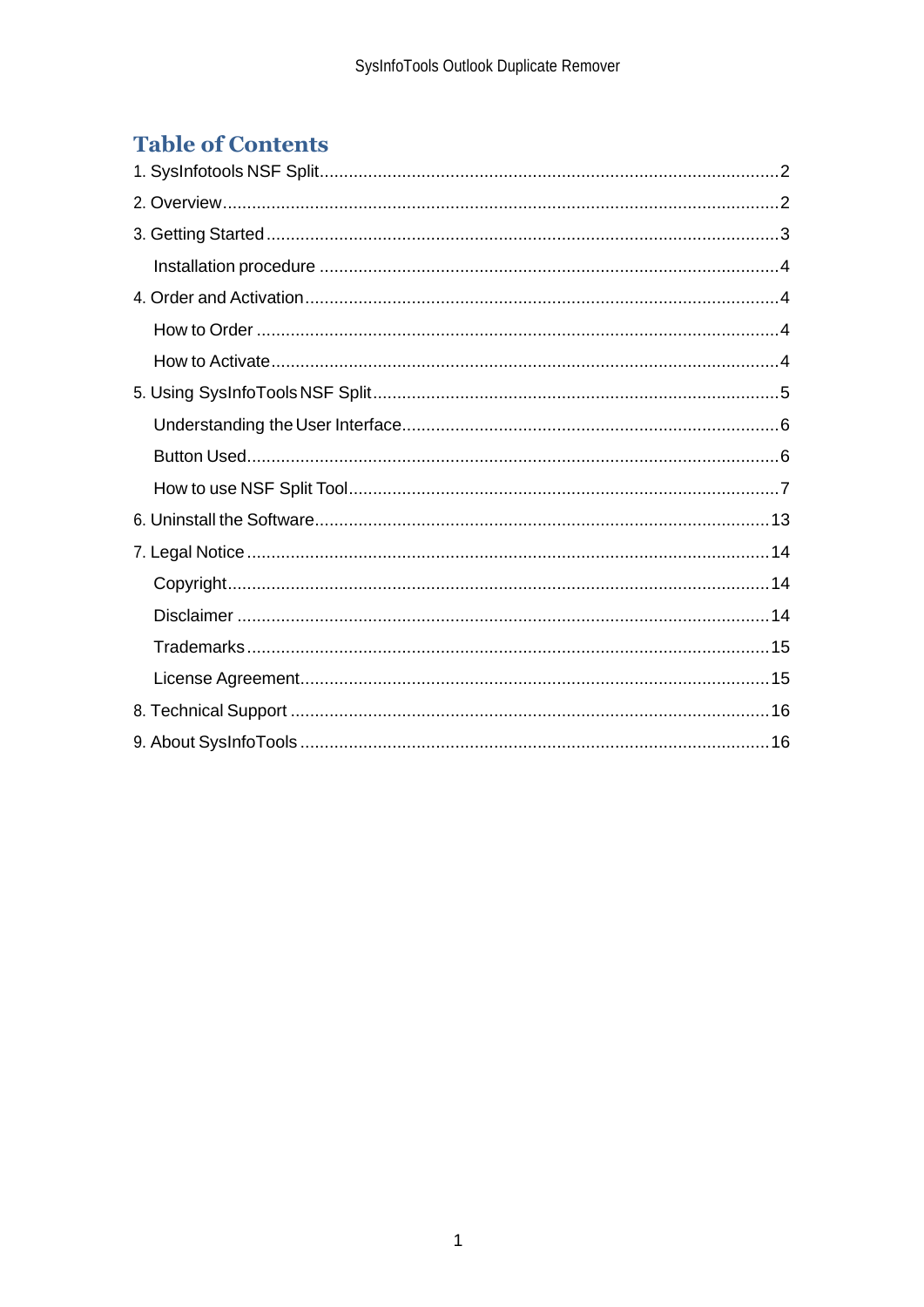# **Table of Contents**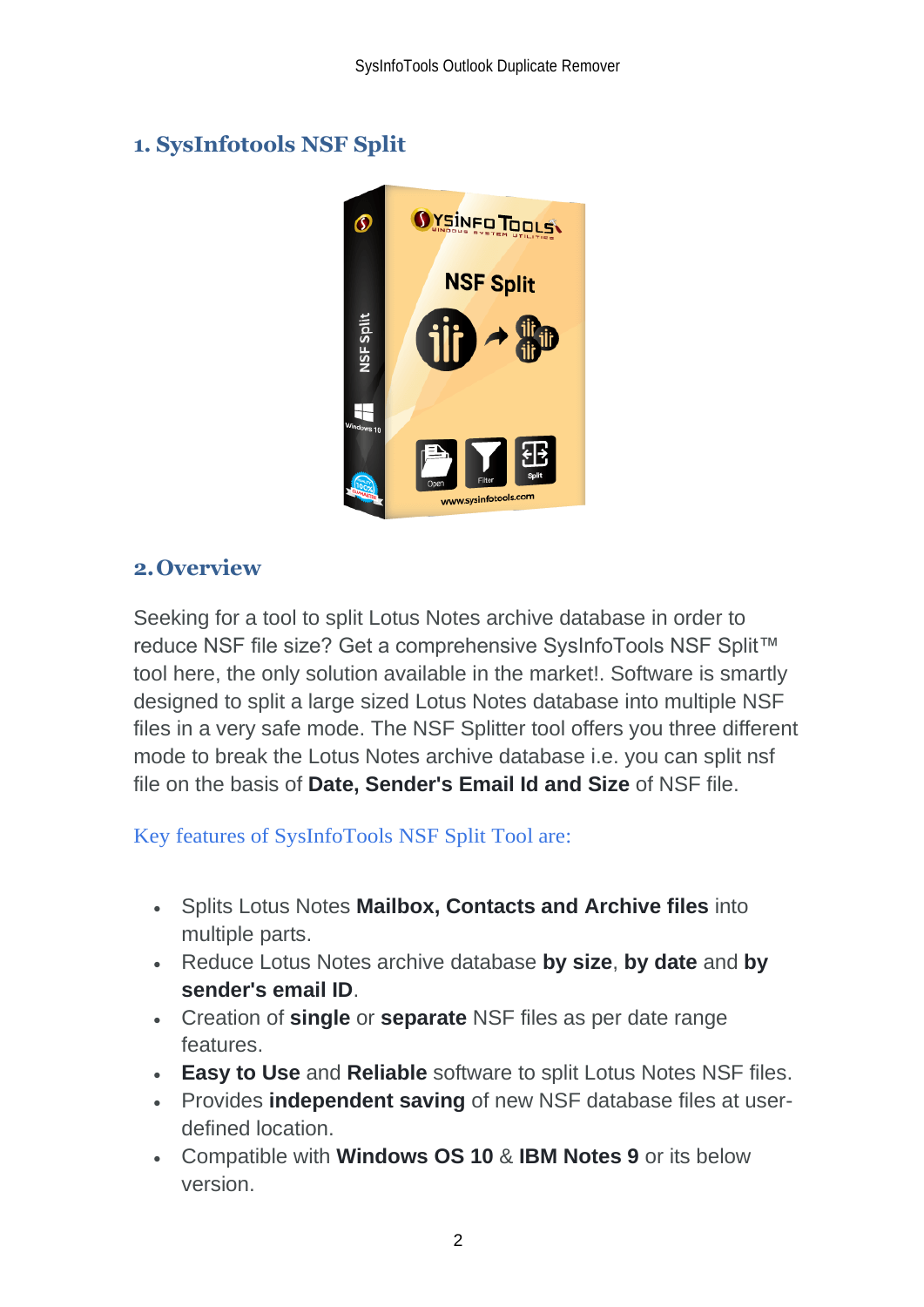# <span id="page-2-0"></span>**1. SysInfotools NSF Split**



## <span id="page-2-1"></span>**2.Overview**

Seeking for a tool to split Lotus Notes archive database in order to reduce NSF file size? Get a comprehensive SysInfoTools NSF Split™ tool here, the only solution available in the market!. Software is smartly designed to split a large sized Lotus Notes database into multiple NSF files in a very safe mode. The NSF Splitter tool offers you three different mode to break the Lotus Notes archive database i.e. you can split nsf file on the basis of **Date, Sender's Email Id and Size** of NSF file.

Key features of SysInfoTools NSF Split Tool are:

- Splits Lotus Notes **Mailbox, Contacts and Archive files** into multiple parts.
- Reduce Lotus Notes archive database **by size**, **by date** and **by sender's email ID**.
- Creation of **single** or **separate** NSF files as per date range features.
- **Easy to Use** and **Reliable** software to split Lotus Notes NSF files.
- Provides **independent saving** of new NSF database files at userdefined location.
- Compatible with **Windows OS 10** & **IBM Notes 9** or its below version.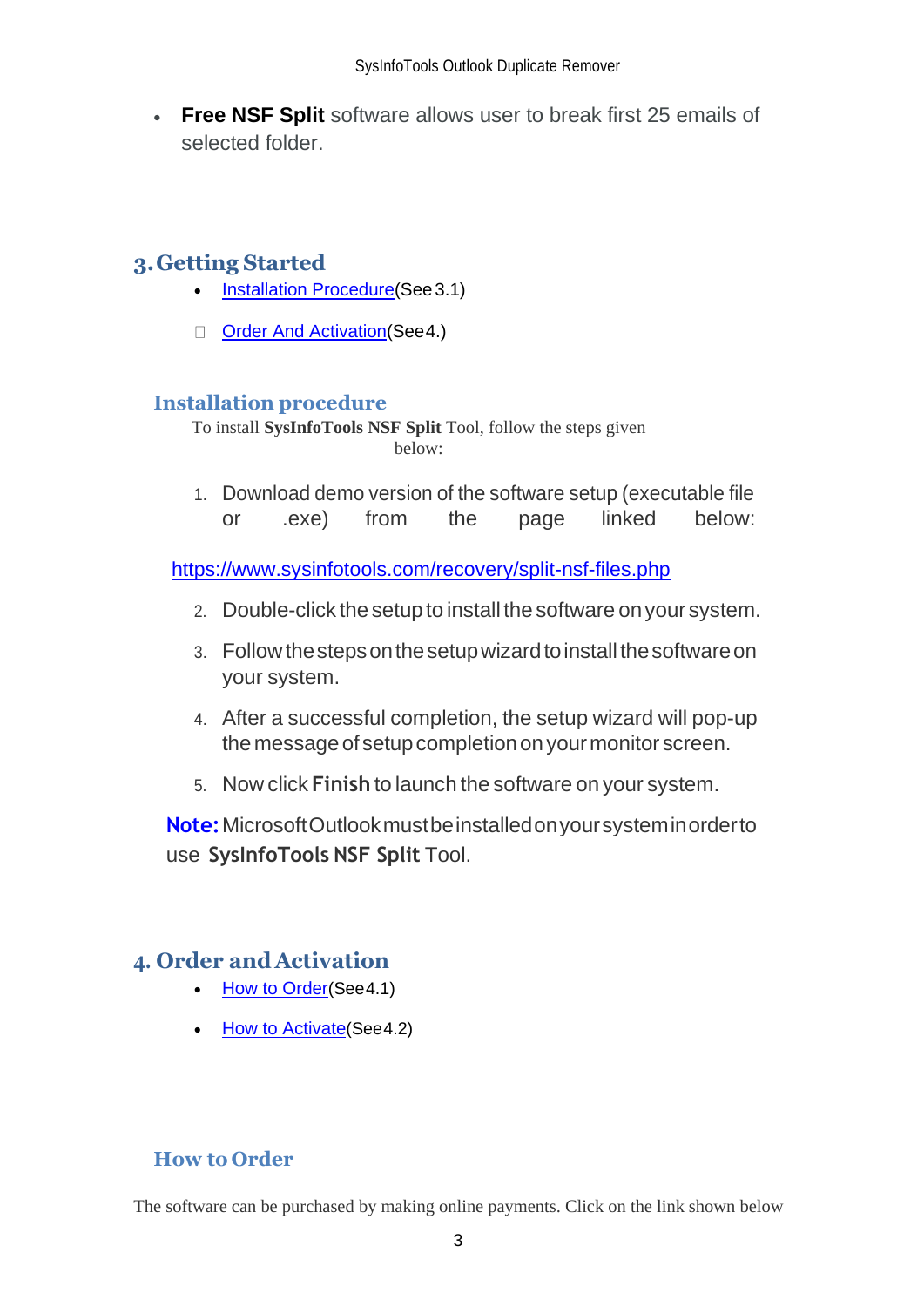• **[Free NSF Split](http://www.softpedia.com/get/Internet/E-mail/Mail-Utilities/SysInfoTools-NSF-Split.shtml)** software allows user to break first 25 emails of selected folder.

# <span id="page-3-0"></span>**3.Getting Started**

- [Installation Procedure\(](#page-3-1)See 3.1)
- □ [Order And Activation\(](#page-3-2)See 4.)

## <span id="page-3-1"></span>**Installation procedure**

To install **SysInfoTools NSF Split** Tool, follow the steps given below:

1. Download demo version of the software setup (executable file or .exe) from the page linked below:

<https://www.sysinfotools.com/recovery/split-nsf-files.php>

- 2. Double-click the setup to install the software onyour system.
- 3. Followthestepsonthesetupwizardtoinstallthesoftwareon your system.
- 4. After a successful completion, the setup wizard will pop-up the message of setup completion on your monitor screen.
- 5. Now click **Finish** to launch the software on your system.

**Note:**MicrosoftOutlookmustbeinstalledonyoursysteminorderto use **SysInfoTools NSF Split** Tool.

## <span id="page-3-2"></span>**4. Order and Activation**

- [How to Order](#page-3-3)(See4.1)
- **[How to Activate](#page-4-0) (See 4.2)**

## <span id="page-3-3"></span>**How to Order**

The software can be purchased by making online payments. Click on the link shown below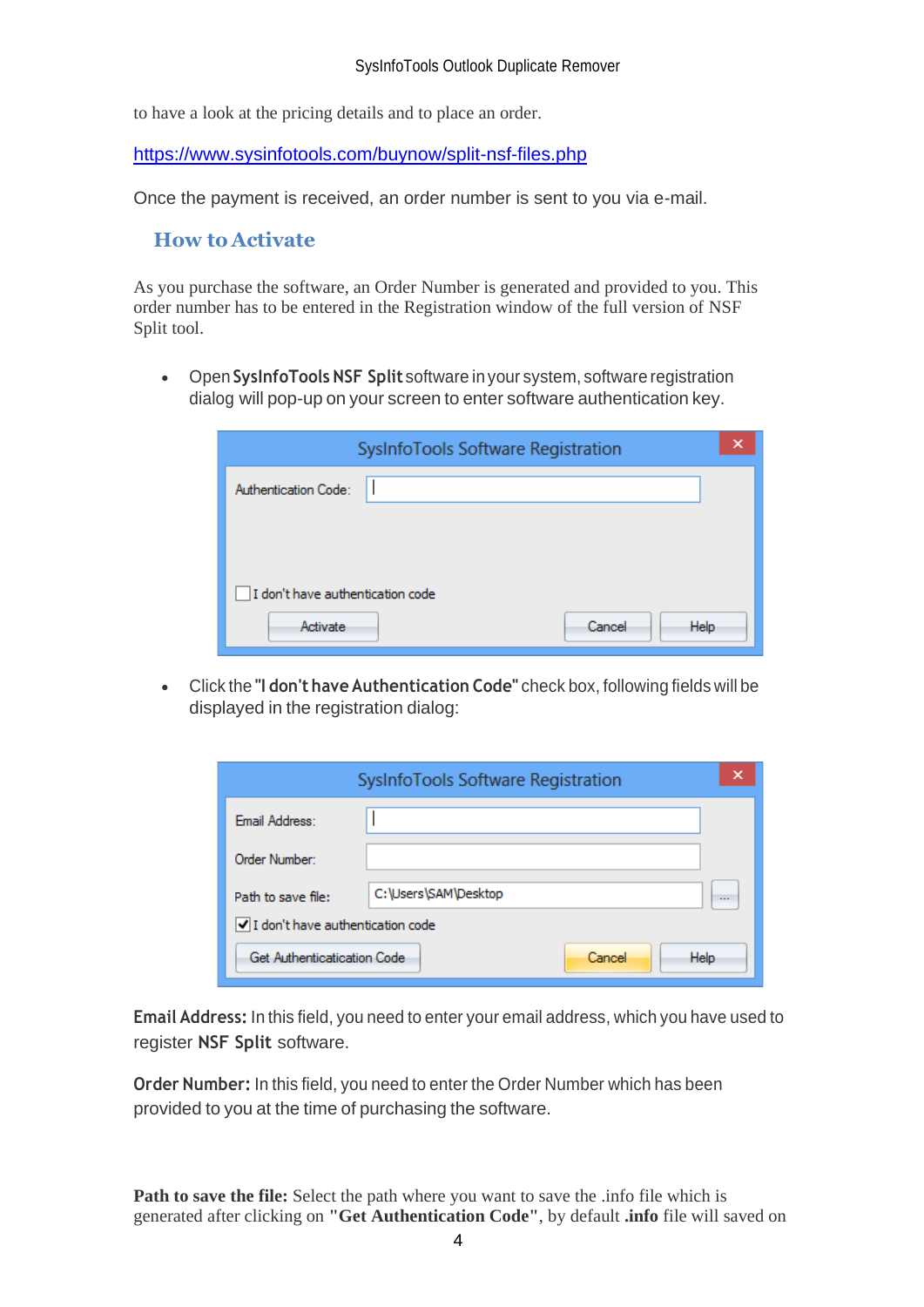to have a look at the pricing details and to place an order.

<https://www.sysinfotools.com/buynow/split-nsf-files.php>

Once the payment is received, an order number is sent to you via e-mail.

### <span id="page-4-0"></span>**How to Activate**

As you purchase the software, an Order Number is generated and provided to you. This order number has to be entered in the Registration window of the full version of NSF Split tool.

• Open **SysInfoTools NSF Split** software in your system, software registration dialog will pop-up on your screen to enter software authentication key.

| SysInfoTools Software Registration | × |
|------------------------------------|---|
| Authentication Code:               |   |
|                                    |   |
|                                    |   |
| I don't have authentication code   |   |
| Cancel<br>Activate<br><b>Help</b>  |   |

• Click the **"I don't have Authentication Code"** check box, following fields will be displayed in the registration dialog:

|                                  | SysInfoTools Software Registration | ×        |
|----------------------------------|------------------------------------|----------|
| Email Address:                   |                                    |          |
| Order Number:                    |                                    |          |
| Path to save file:               | C:\Users\SAM\Desktop               | $\cdots$ |
| I don't have authentication code |                                    |          |
| Get Authenticatication Code      | Help<br>Cancel                     |          |

**Email Address:** In this field, you need to enter your email address, which you have used to register **NSF Split** software.

**Order Number:** In this field, you need to enter the Order Number which has been provided to you at the time of purchasing the software.

**Path to save the file:** Select the path where you want to save the .info file which is generated after clicking on **"Get Authentication Code"**, by default **.info** file will saved on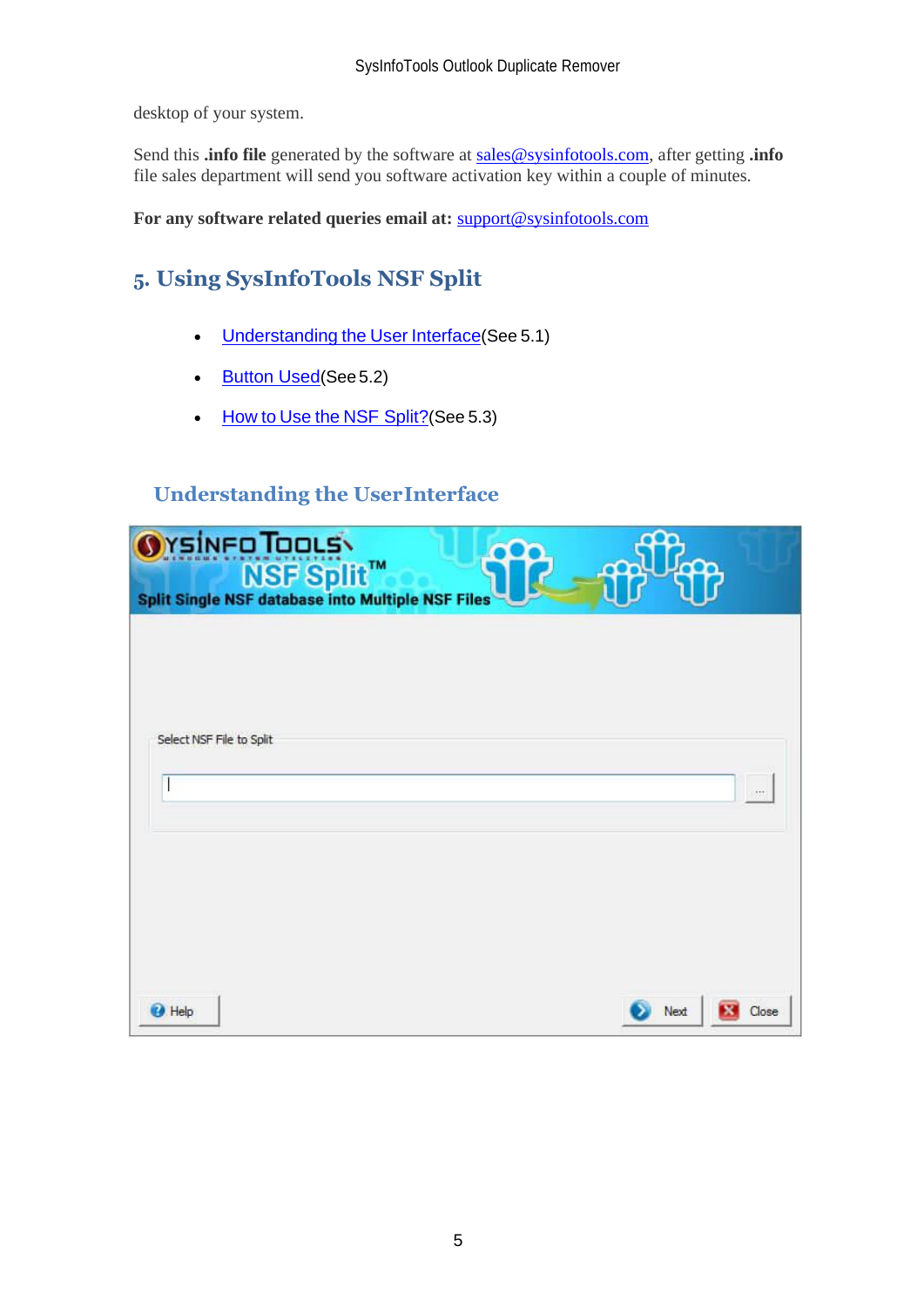desktop of your system.

Send this **.info file** generated by the software at [sales@sysinfotools.com,](mailto:sales@sysinfotools.com) after getting **.info** file sales department will send you software activation key within a couple of minutes.

**For any software related queries email at:** [support@sysinfotools.com](mailto:support@sysinfotools.com)

# <span id="page-5-0"></span>**5. Using SysInfoTools NSF Split**

- [Understanding](#page-5-1) the User Interface (See 5.1)
- [Button Used](#page-5-2)(See 5.2)
- How to Use the [NSF Split?](#page-6-0) (See 5.3)

## <span id="page-5-1"></span>**Understanding the UserInterface**

<span id="page-5-2"></span>

| <b>O</b> YSINFO TOOLS<br><b>Split Single NSF Split™</b><br>Split Single NSF database into Multiple NSF Files | coo.<br>$\n  Im\n$ |       |
|--------------------------------------------------------------------------------------------------------------|--------------------|-------|
|                                                                                                              |                    |       |
| Select NSF File to Split                                                                                     |                    | 257   |
|                                                                                                              |                    |       |
|                                                                                                              |                    |       |
| <b>O</b> Help                                                                                                | Next               | Close |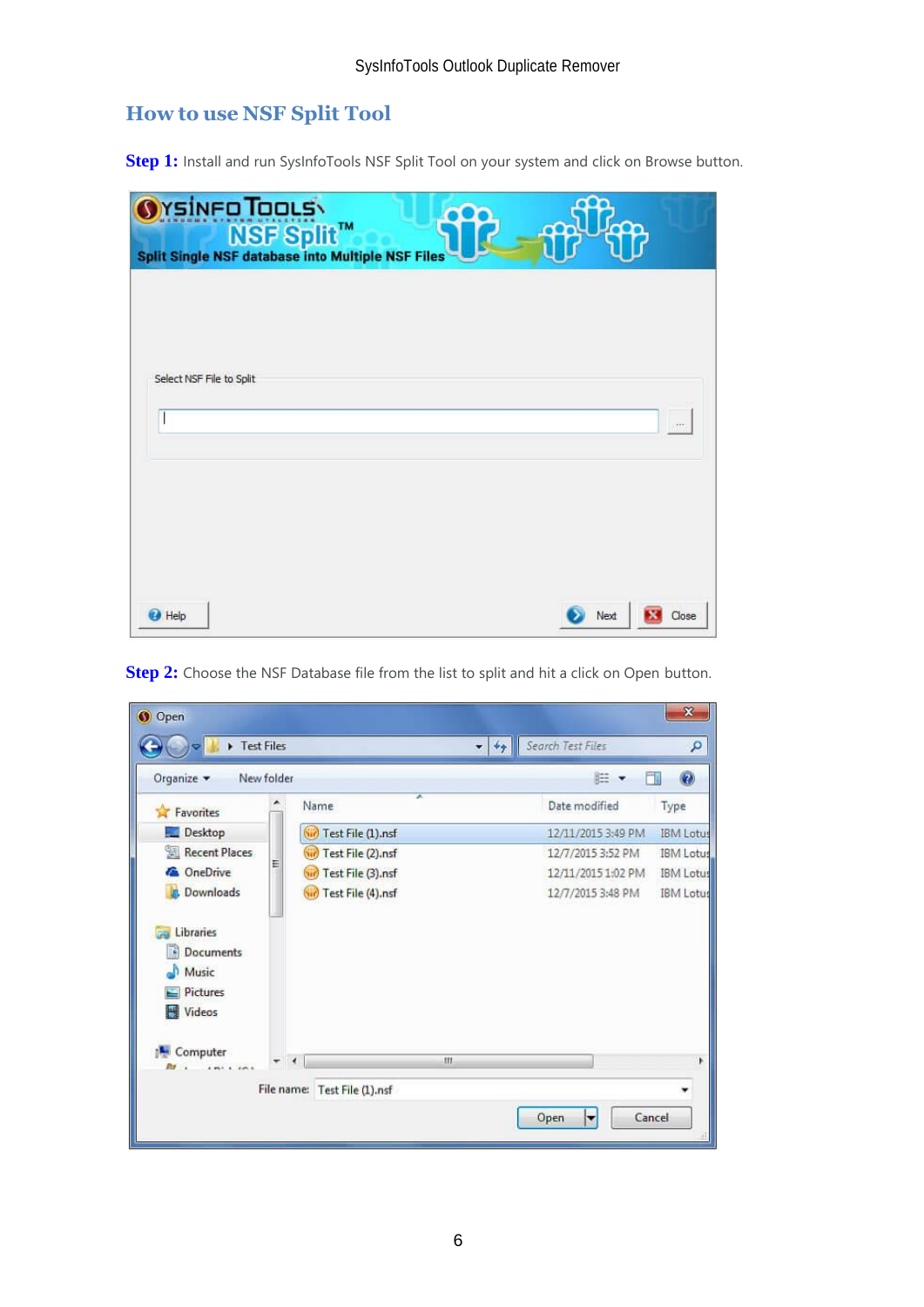# <span id="page-6-0"></span>**How to use NSF Split Tool**

**Step 1:** Install and run SysInfoTools NSF Split Tool on your system and click on Browse button.

|                          | <b>O</b> YSINFO TOOLS<br>Split Single NSF database into Multiple NSF Files |  | കി | $E_{\rm{cap}}$ |       |
|--------------------------|----------------------------------------------------------------------------|--|----|----------------|-------|
|                          |                                                                            |  |    |                |       |
| Select NSF File to Split |                                                                            |  |    |                |       |
|                          |                                                                            |  |    |                |       |
|                          |                                                                            |  |    |                |       |
| <b>O</b> Help            |                                                                            |  |    | Next           | Close |

| Fest Files                                                 |            |                              | $= 44$ | Search Test Files  | ٩                |
|------------------------------------------------------------|------------|------------------------------|--------|--------------------|------------------|
| Organize -                                                 | New folder |                              |        | 胜<br>×             | $\bullet$        |
| Favorites                                                  |            | A<br>Name                    |        | Date modified      | Type             |
| Desktop                                                    |            | (iii) Test File (1).nsf      |        | 12/11/2015 3:49 PM | <b>IBM</b> Lotus |
| Recent Places                                              |            | Test File (2).nsf            |        | 12/7/2015 3:52 PM  | <b>IBM Lotus</b> |
| <b>C</b> OneDrive                                          | Ε          | Test File (3).nsf<br>GH.     |        | 12/11/2015 1:02 PM | <b>IBM</b> Lotus |
| <b>Downloads</b>                                           |            | Test File (4).nsf            |        | 12/7/2015 3:48 PM  | <b>IBM Lotus</b> |
| Libraries<br>Documents<br>Music<br>Pictures<br>Videos<br>H |            |                              |        |                    |                  |
| Computer<br>$m + 1$                                        |            | $\overline{4}$               | III    |                    | ۴                |
|                                                            |            | File name: Test File (1).nsf |        |                    |                  |

**Step 2:** Choose the NSF Database file from the list to split and hit a click on Open button.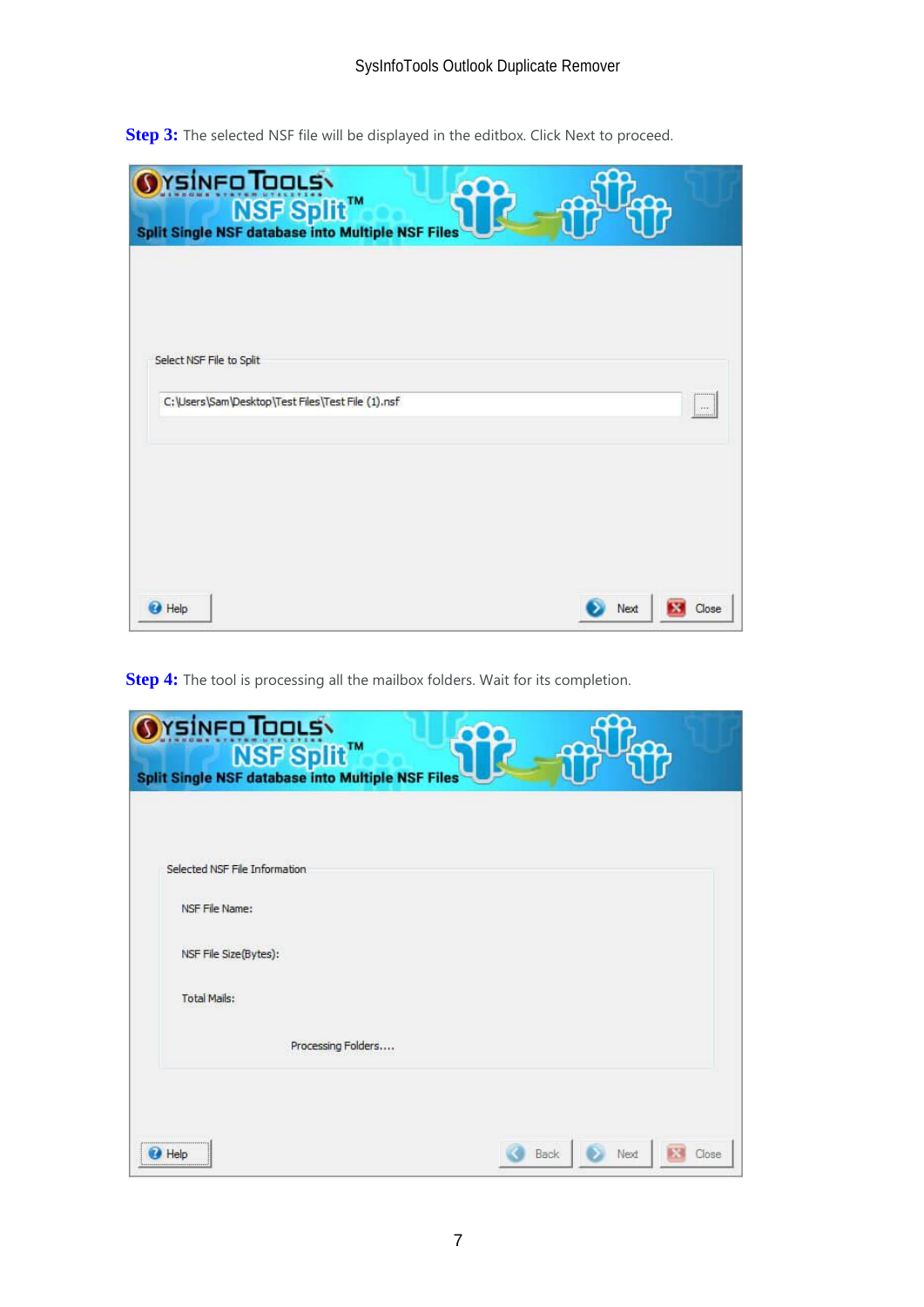| <b>O</b> rsineo Tools<br>NSF Split™<br>Split Single NSF database into Multiple NSF Files |                                                   |  |      |           |
|------------------------------------------------------------------------------------------|---------------------------------------------------|--|------|-----------|
|                                                                                          |                                                   |  |      |           |
| Select NSF File to Split                                                                 | C:\Users\Sam\Desktop\Test Files\Test File (1).nsf |  |      |           |
|                                                                                          |                                                   |  |      | 1000<br>: |
|                                                                                          |                                                   |  |      |           |
| <b>B</b> Help                                                                            |                                                   |  | Next | Close     |

**Step 3:** The selected NSF file will be displayed in the editbox. Click Next to proceed.

**Step 4:** The tool is processing all the mailbox folders. Wait for its completion.

| Orsinen Tools                                            |                       |
|----------------------------------------------------------|-----------------------|
| <b>Split Single NSF database into Multiple NSF Files</b> |                       |
|                                                          |                       |
|                                                          |                       |
| Selected NSF File Information                            |                       |
| NSF File Name:                                           |                       |
| NSF File Size(Bytes):                                    |                       |
| <b>Total Mails:</b>                                      |                       |
| Processing Folders                                       |                       |
|                                                          |                       |
|                                                          |                       |
| Help                                                     | Back<br>Next<br>Close |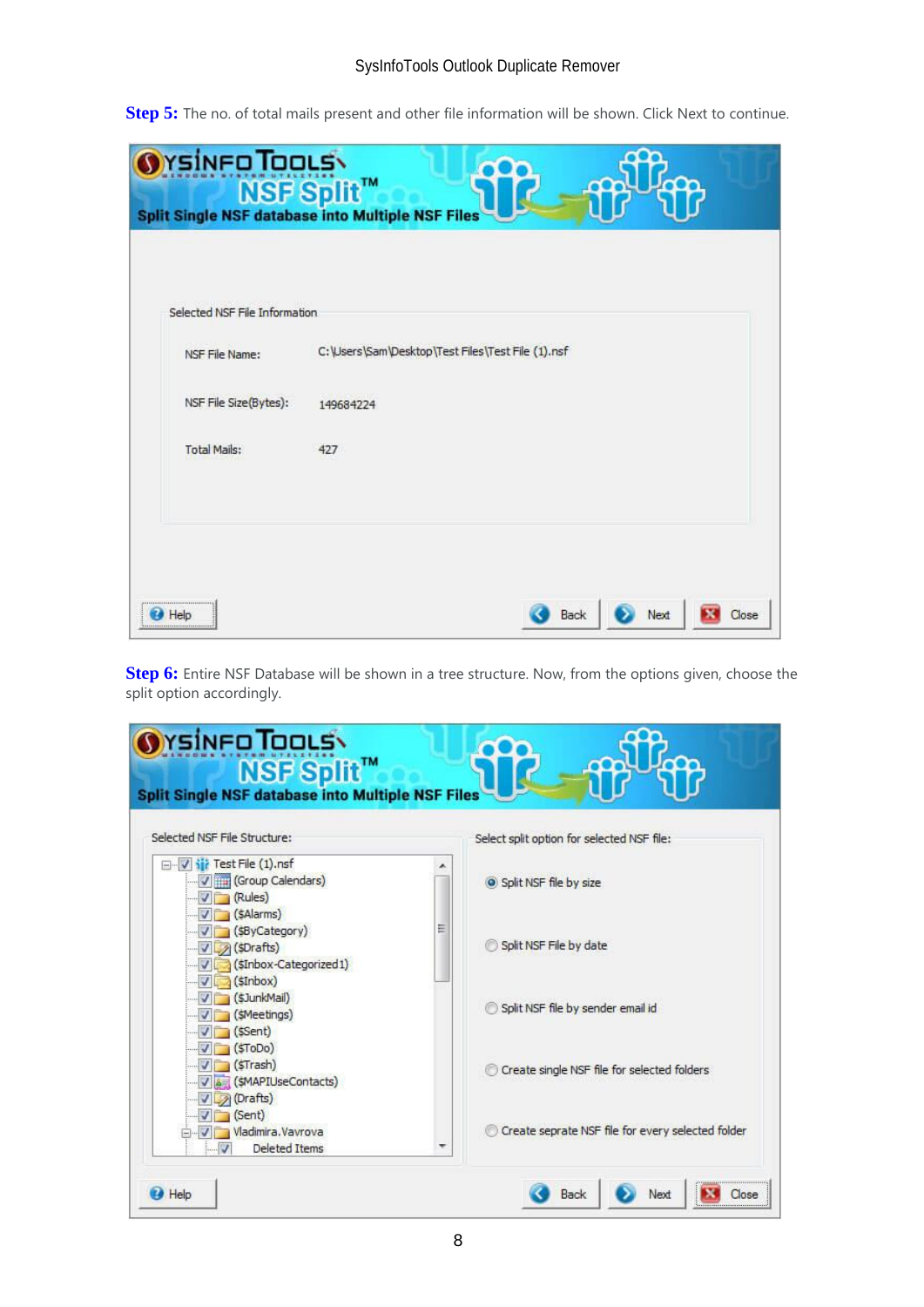#### SysInfoTools Outlook Duplicate Remover

**Step 5:** The no. of total mails present and other file information will be shown. Click Next to continue.

| C: \Users \Sam \Desktop \Test Files \Test File (1).nsf |
|--------------------------------------------------------|
|                                                        |
|                                                        |
|                                                        |
|                                                        |

**Step 6:** Entire NSF Database will be shown in a tree structure. Now, from the options given, choose the split option accordingly.

| Selected NSF File Structure:                                                                             | Select split option for selected NSF file:             |
|----------------------------------------------------------------------------------------------------------|--------------------------------------------------------|
| Vir Test File (1).nsf<br>(Group Calendars)<br>$\sqrt{Rules}$                                             | Split NSF file by size                                 |
| $\sqrt{5}$ (SAlarms)<br>$\sqrt{SByCategory}$<br>$\sqrt{3}$ (sDrafts)<br>$\sqrt{5}$ (sInbox-Categorized1) | Ξ<br>Split NSF File by date                            |
| $\sqrt{5}$ (SInbox)<br>$J$ (\$JunkMail)<br>V (SMeetings)<br>$\sqrt{5}$ (ssent)                           | Split NSF file by sender email id                      |
| $\sqrt{5}$ (\$ToDo)<br>$\sqrt{5}$ (STrash)<br>V & (SMAPIUseContacts)<br>Drafts)                          | Create single NSF file for selected folders            |
| $\sqrt{Sent}$<br>Vladimira. Vavrova<br><b>Deleted Items</b><br>v                                         | Create seprate NSF file for every selected folder<br>۰ |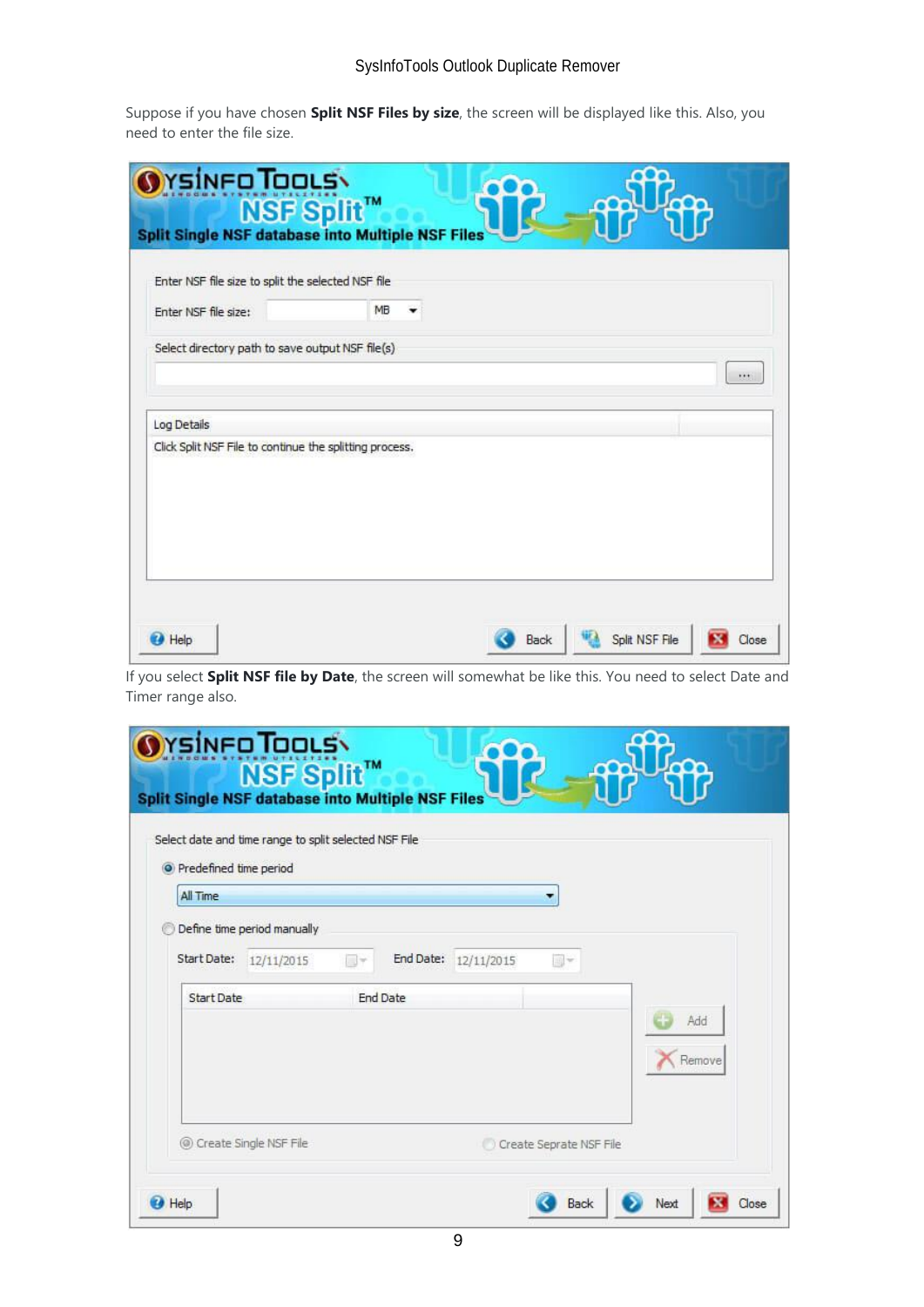### SysInfoTools Outlook Duplicate Remover

Suppose if you have chosen **Split NSF Files by size**, the screen will be displayed like this. Also, you need to enter the file size.

| Enter NSF file size to split the selected NSF file      | <b>Split Single NSF database into Multiple NSF Files</b> |  |          |
|---------------------------------------------------------|----------------------------------------------------------|--|----------|
| Enter NSF file size:                                    | MB                                                       |  |          |
| Select directory path to save output NSF file(s)        |                                                          |  |          |
| Log Details                                             |                                                          |  | $\cdots$ |
| Click Split NSF File to continue the splitting process. |                                                          |  |          |
|                                                         |                                                          |  |          |
|                                                         |                                                          |  |          |
|                                                         |                                                          |  |          |

If you select **Split NSF file by Date**, the screen will somewhat be like this. You need to select Date and Timer range also.

| • Predefined time period         | Select date and time range to split selected NSF File |                           |           |            |    |               |
|----------------------------------|-------------------------------------------------------|---------------------------|-----------|------------|----|---------------|
| All Time                         |                                                       |                           |           |            |    |               |
| Start Date:<br><b>Start Date</b> | Define time period manually<br>12/11/2015             | $\Box$<br><b>End Date</b> | End Date: | 12/11/2015 | a- |               |
|                                  |                                                       |                           |           |            |    | Add<br>Remove |
|                                  |                                                       |                           |           |            |    |               |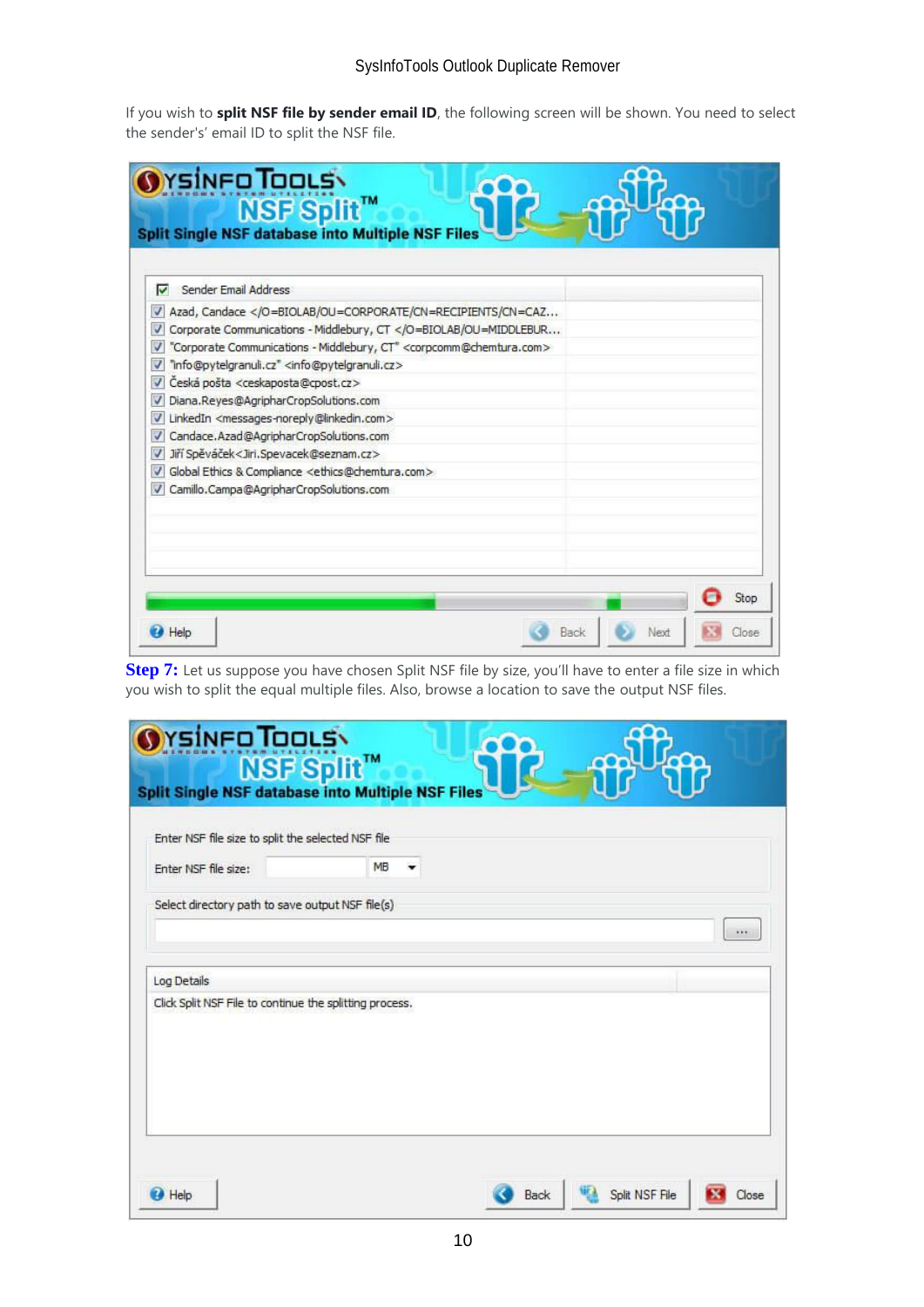If you wish to **split NSF file by sender email ID**, the following screen will be shown. You need to select the sender's' email ID to split the NSF file.

| Sender Email Address<br>⊽                                                                         |  |  |
|---------------------------------------------------------------------------------------------------|--|--|
| Azad, Candace <th></th> <th></th>                                                                 |  |  |
| Corporate Communications - Middlebury, CT V                                                       |  |  |
| "Corporate Communications - Middlebury, CT" <corpcomm@chemtura.com><br/>V</corpcomm@chemtura.com> |  |  |
| "info@pytelgranuli.cz" <info@pytelgranuli.cz></info@pytelgranuli.cz>                              |  |  |
| Česká pošta <ceskaposta@cpost.cz><br/>V</ceskaposta@cpost.cz>                                     |  |  |
| Diana.Reyes@AgripharCropSolutions.com<br>v                                                        |  |  |
| LinkedIn <messages-noreply@linkedin.com></messages-noreply@linkedin.com>                          |  |  |
| Candace.Azad@AgripharCropSolutions.com<br>$\overline{\mathsf{v}}$                                 |  |  |
| Jiří Spěváček <jiri,spevacek@seznam.cz></jiri,spevacek@seznam.cz>                                 |  |  |
| Global Ethics & Compliance <ethics@chemtura.com></ethics@chemtura.com>                            |  |  |
| Camillo, Campa@AgripharCropSolutions.com                                                          |  |  |
|                                                                                                   |  |  |
|                                                                                                   |  |  |

**Step 7:** Let us suppose you have chosen Split NSF file by size, you'll have to enter a file size in which you wish to split the equal multiple files. Also, browse a location to save the output NSF files.

| Enter NSF file size to split the selected NSF file      |    |  |          |
|---------------------------------------------------------|----|--|----------|
| Enter NSF file size:                                    | MB |  |          |
| Select directory path to save output NSF file(s)        |    |  |          |
|                                                         |    |  | $\cdots$ |
| Log Details                                             |    |  |          |
| Click Split NSF File to continue the splitting process. |    |  |          |
|                                                         |    |  |          |
|                                                         |    |  |          |
|                                                         |    |  |          |
|                                                         |    |  |          |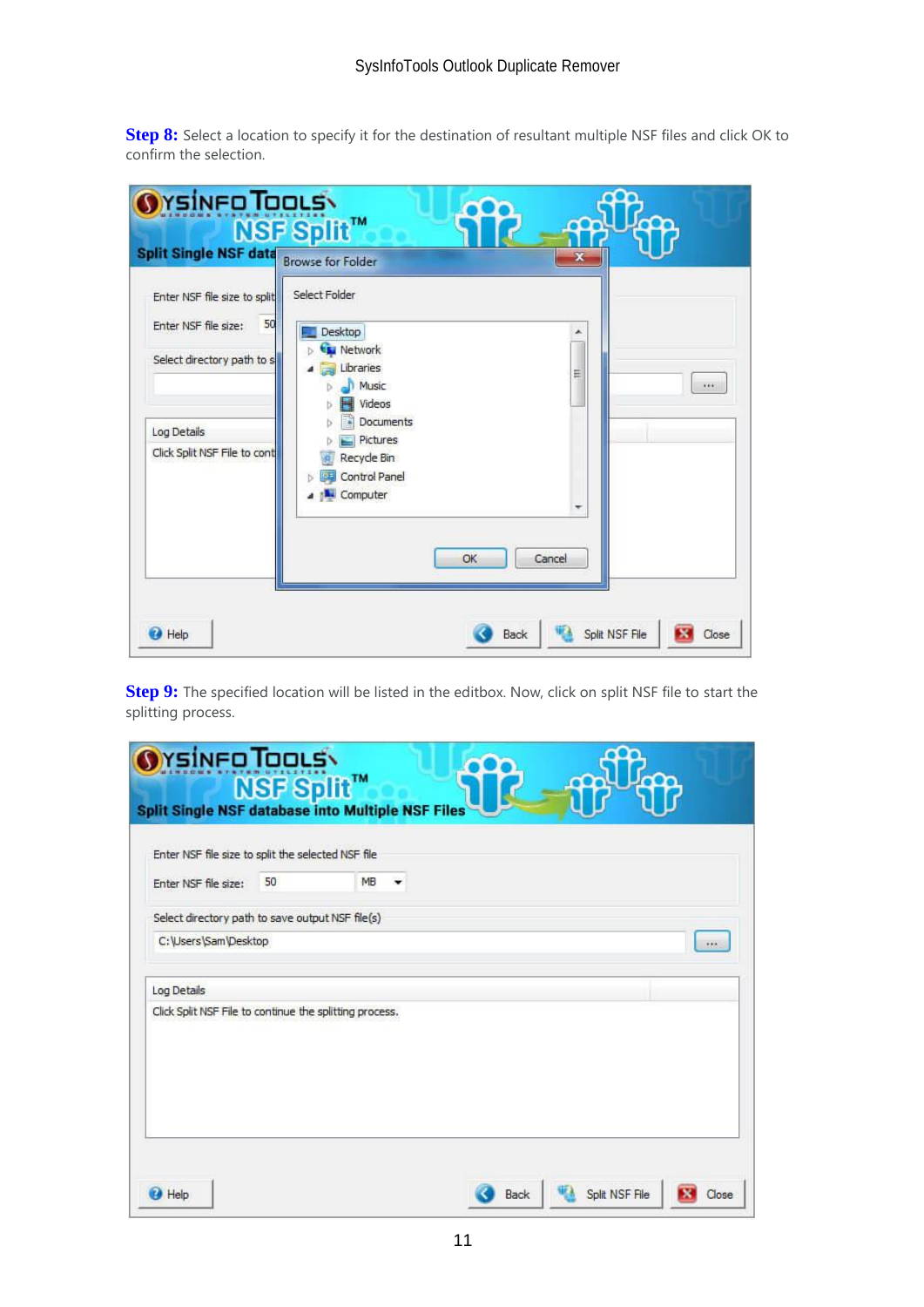**Step 8:** Select a location to specify it for the destination of resultant multiple NSF files and click OK to confirm the selection.

| Orsineo Toous<br>NSF Split™<br><b>Split Single NSF data</b><br>Enter NSF file size to split             | <b>Browse for Folder</b><br>Select Folder                                                                                         |            | ×      |                         |
|---------------------------------------------------------------------------------------------------------|-----------------------------------------------------------------------------------------------------------------------------------|------------|--------|-------------------------|
| 50<br>Enter NSF file size:<br>Select directory path to s<br>Log Details<br>Click Split NSF File to cont | Desktop<br><b>Network</b><br>Libraries<br>Music<br>Videos<br>Documents<br>Pictures<br>Recycle Bin<br>Control Panel<br>L. Computer |            | ۸<br>Ξ |                         |
| <b>O</b> Help                                                                                           |                                                                                                                                   | OK<br>Back | Cancel | Split NSF File<br>Close |

**Step 9:** The specified location will be listed in the editbox. Now, click on split NSF file to start the splitting process.

| Enter NSF file size:                                    | 50 | MB |  |     |
|---------------------------------------------------------|----|----|--|-----|
| Select directory path to save output NSF file(s)        |    |    |  |     |
| C:\Users\Sam\Desktop                                    |    |    |  | 111 |
|                                                         |    |    |  |     |
| Log Details                                             |    |    |  |     |
| Click Split NSF File to continue the splitting process. |    |    |  |     |
|                                                         |    |    |  |     |
|                                                         |    |    |  |     |
|                                                         |    |    |  |     |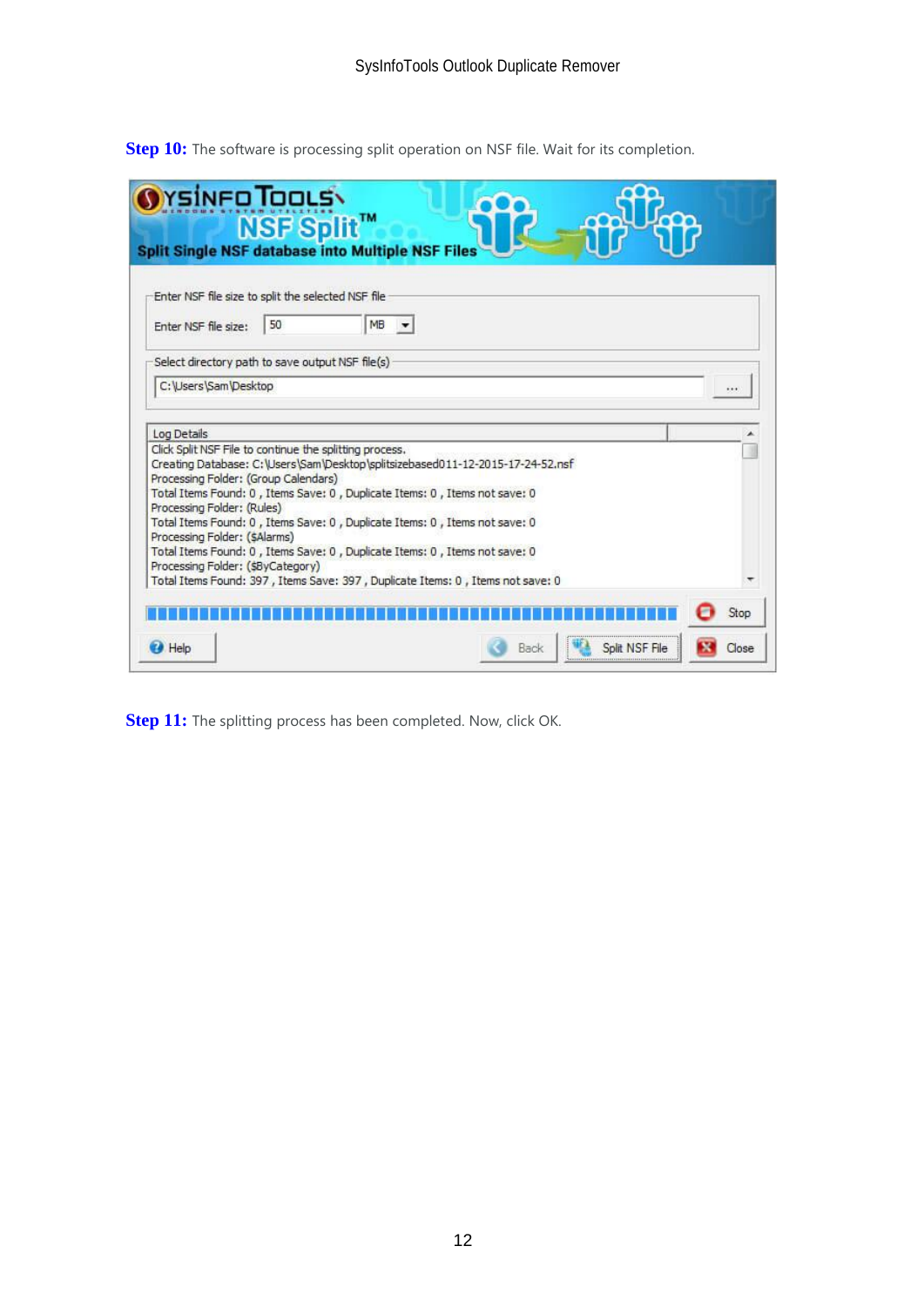|                                                                                                                    | rsinfo Tools\<br><b>NSF Split™</b> | <b>Split Single NSF database into Multiple NSF Files</b>                                                                                                                                                                                                                                                                                                                            |      |                |       |
|--------------------------------------------------------------------------------------------------------------------|------------------------------------|-------------------------------------------------------------------------------------------------------------------------------------------------------------------------------------------------------------------------------------------------------------------------------------------------------------------------------------------------------------------------------------|------|----------------|-------|
| Enter NSF file size to split the selected NSF file                                                                 |                                    |                                                                                                                                                                                                                                                                                                                                                                                     |      |                |       |
| Enter NSF file size:                                                                                               | 50                                 | MB                                                                                                                                                                                                                                                                                                                                                                                  |      |                |       |
| Select directory path to save output NSF file(s)                                                                   |                                    |                                                                                                                                                                                                                                                                                                                                                                                     |      |                |       |
| C: Users \Sam \Desktop                                                                                             |                                    |                                                                                                                                                                                                                                                                                                                                                                                     |      |                |       |
|                                                                                                                    |                                    |                                                                                                                                                                                                                                                                                                                                                                                     |      |                |       |
| Log Details<br>Processing Folder: (Group Calendars)<br>Processing Folder: (Rules)<br>Processing Folder: (\$Alarms) |                                    | Click Split NSF File to continue the splitting process.<br>Creating Database: C:\Users\Sam\Desktop\splitsizebased011-12-2015-17-24-52.nsf<br>Total Items Found: 0, Items Save: 0, Duplicate Items: 0, Items not save: 0<br>Total Items Found: 0, Items Save: 0, Duplicate Items: 0, Items not save: 0<br>Total Items Found: 0, Items Save: 0, Duplicate Items: 0, Items not save: 0 |      |                |       |
| Processing Folder: (\$ByCategory)                                                                                  |                                    | Total Items Found: 397, Items Save: 397, Duplicate Items: 0, Items not save: 0                                                                                                                                                                                                                                                                                                      |      |                |       |
|                                                                                                                    |                                    |                                                                                                                                                                                                                                                                                                                                                                                     |      |                | Stop  |
| $\bigcup$ Help                                                                                                     |                                    |                                                                                                                                                                                                                                                                                                                                                                                     | Back | Split NSF File | Close |

**Step 10:** The software is processing split operation on NSF file. Wait for its completion.

**Step 11:** The splitting process has been completed. Now, click OK.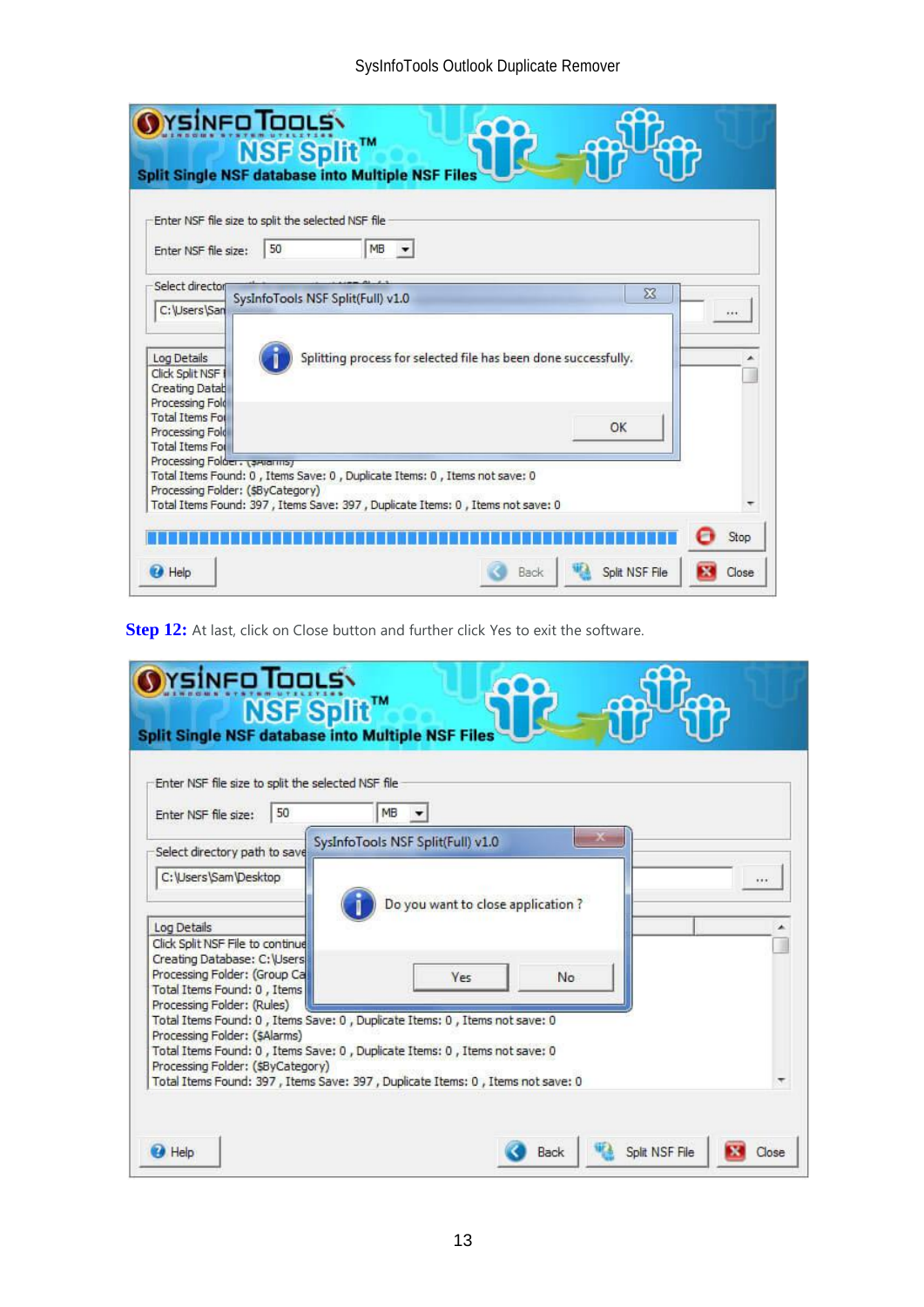### SysInfoTools Outlook Duplicate Remover

| <b>Split Single NSF database into Multiple NSF Files</b><br>Enter NSF file size to split the selected NSF file<br>50<br>Enter NSF file size:<br>Select director                              |                                   | MB |                                                                 |                |            |  |
|----------------------------------------------------------------------------------------------------------------------------------------------------------------------------------------------|-----------------------------------|----|-----------------------------------------------------------------|----------------|------------|--|
|                                                                                                                                                                                              |                                   |    |                                                                 |                |            |  |
| C:\Users\San                                                                                                                                                                                 | SysInfoTools NSF Split(Full) v1.0 |    |                                                                 | $\Sigma$       | $1.1 + 1.$ |  |
| Log Details<br>Click Split NSF<br><b>Creating Datab</b><br>Processing Fold<br><b>Total Items For</b>                                                                                         |                                   |    | Splitting process for selected file has been done successfully. |                |            |  |
| Processing Fold<br><b>Total Items For</b><br>Processing Folder . (smarms)<br>Total Items Found: 0, Items Save: 0, Duplicate Items: 0, Items not save: 0<br>Processing Folder: (\$ByCategory) |                                   |    |                                                                 | OK             |            |  |
| Total Items Found: 397, Items Save: 397, Duplicate Items: 0, Items not save: 0<br>Help Help                                                                                                  |                                   |    | Back                                                            | Split NSF File | Stop       |  |

**Step 12:** At last, click on Close button and further click Yes to exit the software.

| rsinfo Tools\<br><b>NSF Split™</b><br><b>Split Single NSF database into Multiple NSF Files</b> |                                                                                |  |
|------------------------------------------------------------------------------------------------|--------------------------------------------------------------------------------|--|
| Enter NSF file size to split the selected NSF file                                             |                                                                                |  |
| 50<br>Enter NSF file size:                                                                     | MB                                                                             |  |
| Select directory path to save                                                                  | SysInfoTools NSF Split(Full) v1.0                                              |  |
| C:\Users\Sam\Desktop                                                                           |                                                                                |  |
|                                                                                                | Do you want to close application?                                              |  |
| Log Details                                                                                    |                                                                                |  |
| Click Split NSF File to continue<br>Creating Database: C: Users                                |                                                                                |  |
| Processing Folder: (Group Ca                                                                   | No<br><b>Yes</b>                                                               |  |
| Total Items Found: 0, Items<br>Processing Folder: (Rules)                                      |                                                                                |  |
|                                                                                                | Total Items Found: 0, Items Save: 0, Duplicate Items: 0, Items not save: 0     |  |
| Processing Folder: (SAlarms)                                                                   | Total Items Found: 0, Items Save: 0, Duplicate Items: 0, Items not save: 0     |  |
| Processing Folder: (\$ByCategory)                                                              |                                                                                |  |
|                                                                                                | Total Items Found: 397, Items Save: 397, Duplicate Items: 0, Items not save: 0 |  |
|                                                                                                |                                                                                |  |
|                                                                                                |                                                                                |  |
| <b>Help</b>                                                                                    | Split NSF File<br>Back                                                         |  |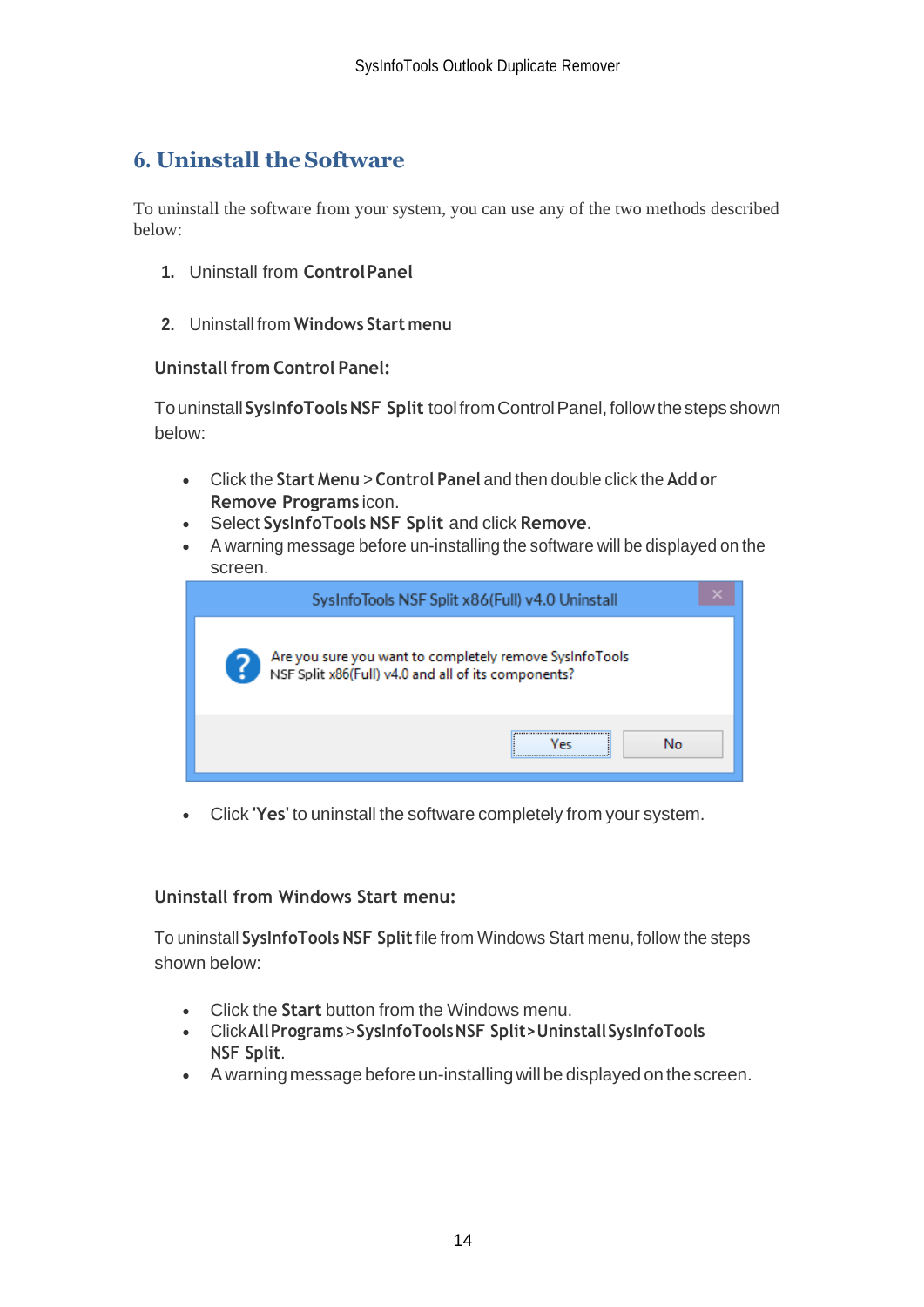# <span id="page-14-0"></span>**6. Uninstall theSoftware**

To uninstall the software from your system, you can use any of the two methods described below:

- **1.** Uninstall from **ControlPanel**
- **2.** Uninstall from **Windows Start menu**

#### **Uninstallfrom Control Panel:**

Touninstall**SysInfoToolsNSF Split** toolfromControlPanel,followthestepsshown below:

- Click the **Start Menu** > **Control Panel** and then double click the **Add or Remove Programs** icon.
- Select **SysInfoTools NSF Split** and click **Remove**.
- A warning message before un-installing the software will be displayed on the screen.

|                                                     | SysInfoTools NSF Split x86(Full) v4.0 Uninstall         |
|-----------------------------------------------------|---------------------------------------------------------|
| NSF Split x86(Full) v4.0 and all of its components? | Are you sure you want to completely remove SysInfoTools |
|                                                     | <br>No<br>Vec                                           |

• Click **'Yes'** to uninstall the software completely from your system.

### **Uninstall from Windows Start menu:**

To uninstall **SysInfoTools NSF Split**file from Windows Start menu, follow the steps shown below:

- Click the **Start** button from the Windows menu.
- Click**AllPrograms**>**SysInfoToolsNSF Split>UninstallSysInfoTools NSF Split**.
- A warning message before un-installingwill be displayed on the screen.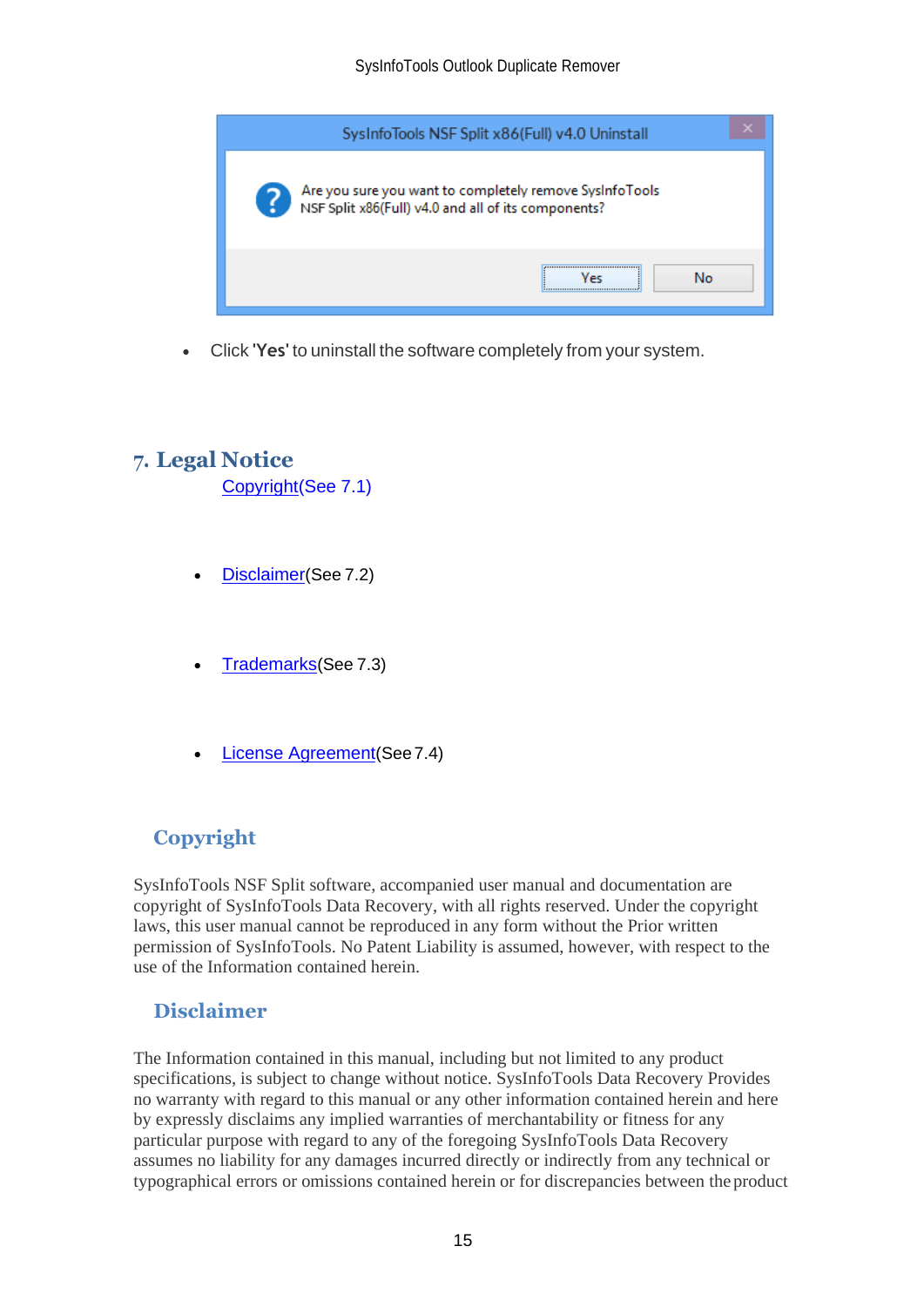

• Click **'Yes'** to uninstall the software completely from your system.

## <span id="page-15-0"></span>**7. Legal Notice**

[Copyright\(](#page-15-1)See 7.1)

- [Disclaimer](#page-15-2)(See 7.2)
- [Trademarks](#page-16-0)(See 7.3)
- [License Agreement](#page-16-1)(See7.4)

## <span id="page-15-1"></span>**Copyright**

SysInfoTools NSF Split software, accompanied user manual and documentation are copyright of SysInfoTools Data Recovery, with all rights reserved. Under the copyright laws, this user manual cannot be reproduced in any form without the Prior written permission of SysInfoTools. No Patent Liability is assumed, however, with respect to the use of the Information contained herein.

### <span id="page-15-2"></span>**Disclaimer**

The Information contained in this manual, including but not limited to any product specifications, is subject to change without notice. SysInfoTools Data Recovery Provides no warranty with regard to this manual or any other information contained herein and here by expressly disclaims any implied warranties of merchantability or fitness for any particular purpose with regard to any of the foregoing SysInfoTools Data Recovery assumes no liability for any damages incurred directly or indirectly from any technical or typographical errors or omissions contained herein or for discrepancies between the product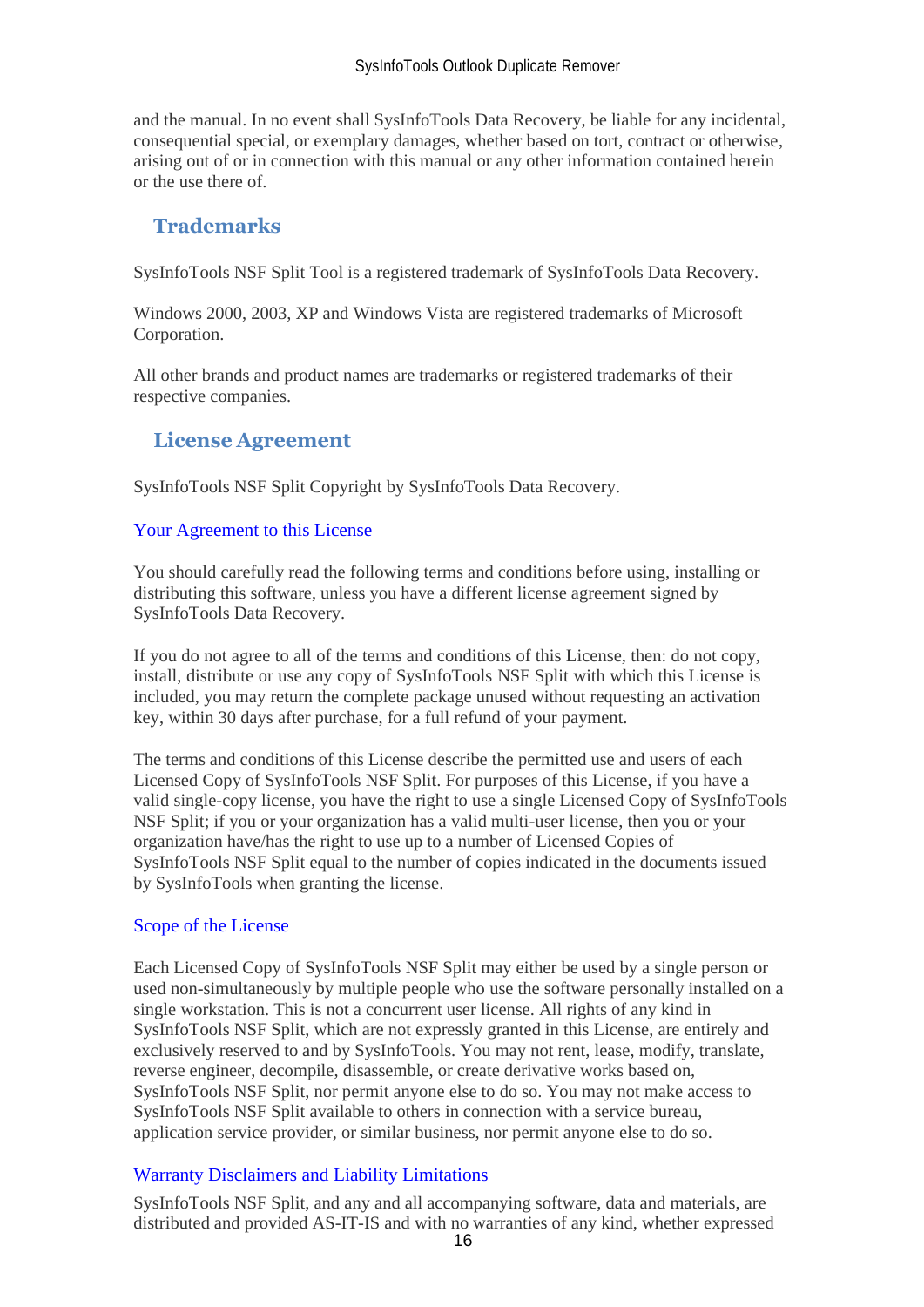and the manual. In no event shall SysInfoTools Data Recovery, be liable for any incidental, consequential special, or exemplary damages, whether based on tort, contract or otherwise, arising out of or in connection with this manual or any other information contained herein or the use there of.

## <span id="page-16-0"></span>**Trademarks**

SysInfoTools NSF Split Tool is a registered trademark of SysInfoTools Data Recovery.

Windows 2000, 2003, XP and Windows Vista are registered trademarks of Microsoft Corporation.

All other brands and product names are trademarks or registered trademarks of their respective companies.

### <span id="page-16-1"></span>**License Agreement**

SysInfoTools NSF Split Copyright by SysInfoTools Data Recovery.

#### Your Agreement to this License

You should carefully read the following terms and conditions before using, installing or distributing this software, unless you have a different license agreement signed by SysInfoTools Data Recovery.

If you do not agree to all of the terms and conditions of this License, then: do not copy, install, distribute or use any copy of SysInfoTools NSF Split with which this License is included, you may return the complete package unused without requesting an activation key, within 30 days after purchase, for a full refund of your payment.

The terms and conditions of this License describe the permitted use and users of each Licensed Copy of SysInfoTools NSF Split. For purposes of this License, if you have a valid single-copy license, you have the right to use a single Licensed Copy of SysInfoTools NSF Split; if you or your organization has a valid multi-user license, then you or your organization have/has the right to use up to a number of Licensed Copies of SysInfoTools NSF Split equal to the number of copies indicated in the documents issued by SysInfoTools when granting the license.

### Scope of the License

Each Licensed Copy of SysInfoTools NSF Split may either be used by a single person or used non-simultaneously by multiple people who use the software personally installed on a single workstation. This is not a concurrent user license. All rights of any kind in SysInfoTools NSF Split, which are not expressly granted in this License, are entirely and exclusively reserved to and by SysInfoTools. You may not rent, lease, modify, translate, reverse engineer, decompile, disassemble, or create derivative works based on, SysInfoTools NSF Split, nor permit anyone else to do so. You may not make access to SysInfoTools NSF Split available to others in connection with a service bureau, application service provider, or similar business, nor permit anyone else to do so.

### Warranty Disclaimers and Liability Limitations

SysInfoTools NSF Split, and any and all accompanying software, data and materials, are distributed and provided AS-IT-IS and with no warranties of any kind, whether expressed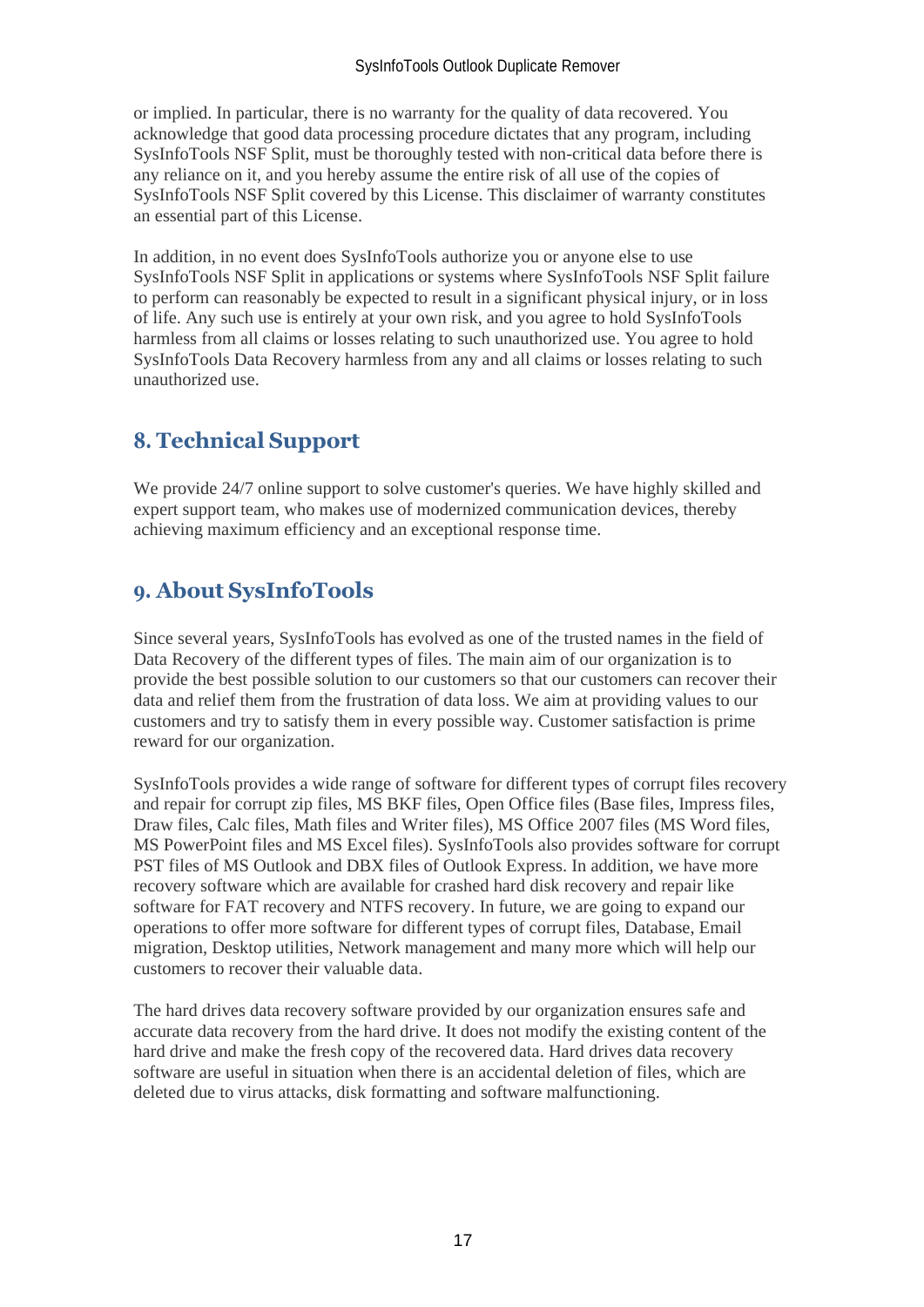or implied. In particular, there is no warranty for the quality of data recovered. You acknowledge that good data processing procedure dictates that any program, including SysInfoTools NSF Split, must be thoroughly tested with non-critical data before there is any reliance on it, and you hereby assume the entire risk of all use of the copies of SysInfoTools NSF Split covered by this License. This disclaimer of warranty constitutes an essential part of this License.

In addition, in no event does SysInfoTools authorize you or anyone else to use SysInfoTools NSF Split in applications or systems where SysInfoTools NSF Split failure to perform can reasonably be expected to result in a significant physical injury, or in loss of life. Any such use is entirely at your own risk, and you agree to hold SysInfoTools harmless from all claims or losses relating to such unauthorized use. You agree to hold SysInfoTools Data Recovery harmless from any and all claims or losses relating to such unauthorized use.

# <span id="page-17-0"></span>**8. Technical Support**

We provide 24/7 online support to solve customer's queries. We have highly skilled and expert support team, who makes use of modernized communication devices, thereby achieving maximum efficiency and an exceptional response time.

# <span id="page-17-1"></span>**9. About SysInfoTools**

Since several years, SysInfoTools has evolved as one of the trusted names in the field of Data Recovery of the different types of files. The main aim of our organization is to provide the best possible solution to our customers so that our customers can recover their data and relief them from the frustration of data loss. We aim at providing values to our customers and try to satisfy them in every possible way. Customer satisfaction is prime reward for our organization.

SysInfoTools provides a wide range of software for different types of corrupt files recovery and repair for corrupt zip files, MS BKF files, Open Office files (Base files, Impress files, Draw files, Calc files, Math files and Writer files), MS Office 2007 files (MS Word files, MS PowerPoint files and MS Excel files). SysInfoTools also provides software for corrupt PST files of MS Outlook and DBX files of Outlook Express. In addition, we have more recovery software which are available for crashed hard disk recovery and repair like software for FAT recovery and NTFS recovery. In future, we are going to expand our operations to offer more software for different types of corrupt files, Database, Email migration, Desktop utilities, Network management and many more which will help our customers to recover their valuable data.

The hard drives data recovery software provided by our organization ensures safe and accurate data recovery from the hard drive. It does not modify the existing content of the hard drive and make the fresh copy of the recovered data. Hard drives data recovery software are useful in situation when there is an accidental deletion of files, which are deleted due to virus attacks, disk formatting and software malfunctioning.